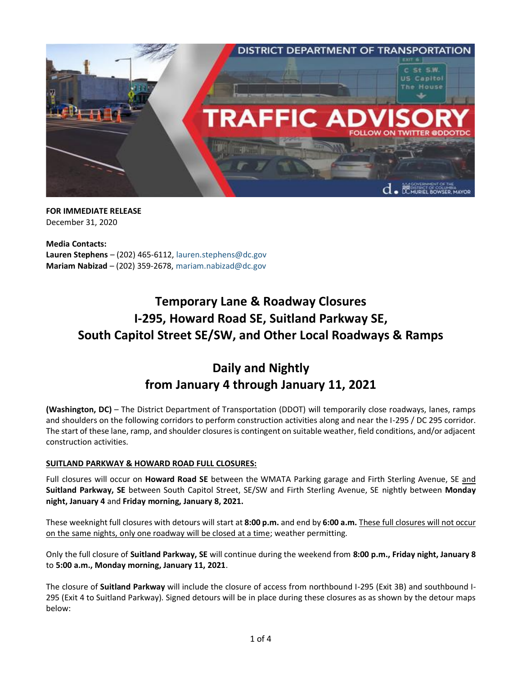

**FOR IMMEDIATE RELEASE** December 31, 2020

**Media Contacts: Lauren Stephens** – (202) 465-6112, [lauren.stephens@dc.gov](mailto:lauren.stephens@dc.gov) **Mariam Nabizad** – (202) 359-2678, [mariam.nabizad@dc.gov](mailto:mariam.nabizad@dc.gov)

# **Temporary Lane & Roadway Closures I-295, Howard Road SE, Suitland Parkway SE, South Capitol Street SE/SW, and Other Local Roadways & Ramps**

# **Daily and Nightly from January 4 through January 11, 2021**

**(Washington, DC)** – The District Department of Transportation (DDOT) will temporarily close roadways, lanes, ramps and shoulders on the following corridors to perform construction activities along and near the I-295 / DC 295 corridor. The start of these lane, ramp, and shoulder closures is contingent on suitable weather, field conditions, and/or adjacent construction activities.

### **SUITLAND PARKWAY & HOWARD ROAD FULL CLOSURES:**

Full closures will occur on **Howard Road SE** between the WMATA Parking garage and Firth Sterling Avenue, SE and **Suitland Parkway, SE** between South Capitol Street, SE/SW and Firth Sterling Avenue, SE nightly between **Monday night, January 4** and **Friday morning, January 8, 2021.**

These weeknight full closures with detours will start at **8:00 p.m.** and end by **6:00 a.m.** These full closures will not occur on the same nights, only one roadway will be closed at a time; weather permitting.

Only the full closure of **Suitland Parkway, SE** will continue during the weekend from **8:00 p.m., Friday night, January 8**  to **5:00 a.m., Monday morning, January 11, 2021**.

The closure of **Suitland Parkway** will include the closure of access from northbound I-295 (Exit 3B) and southbound I-295 (Exit 4 to Suitland Parkway). Signed detours will be in place during these closures as as shown by the detour maps below: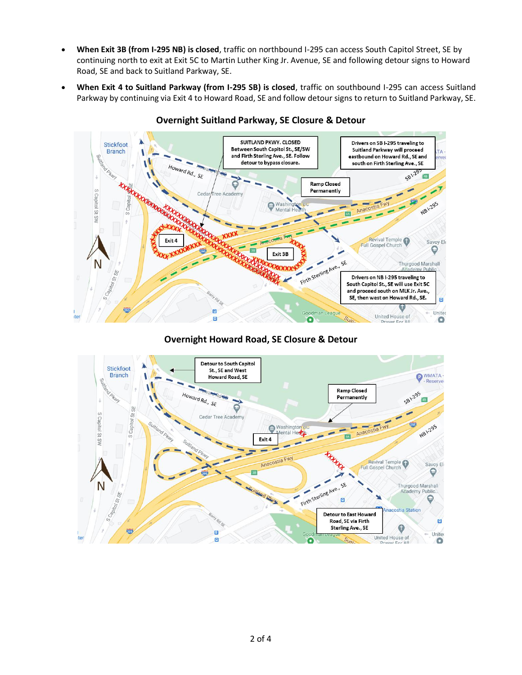- **When Exit 3B (from I-295 NB) is closed**, traffic on northbound I-295 can access South Capitol Street, SE by continuing north to exit at Exit 5C to Martin Luther King Jr. Avenue, SE and following detour signs to Howard Road, SE and back to Suitland Parkway, SE.
- **When Exit 4 to Suitland Parkway (from I-295 SB) is closed**, traffic on southbound I-295 can access Suitland Parkway by continuing via Exit 4 to Howard Road, SE and follow detour signs to return to Suitland Parkway, SE.



## **Overnight Suitland Parkway, SE Closure & Detour**

**Overnight Howard Road, SE Closure & Detour**

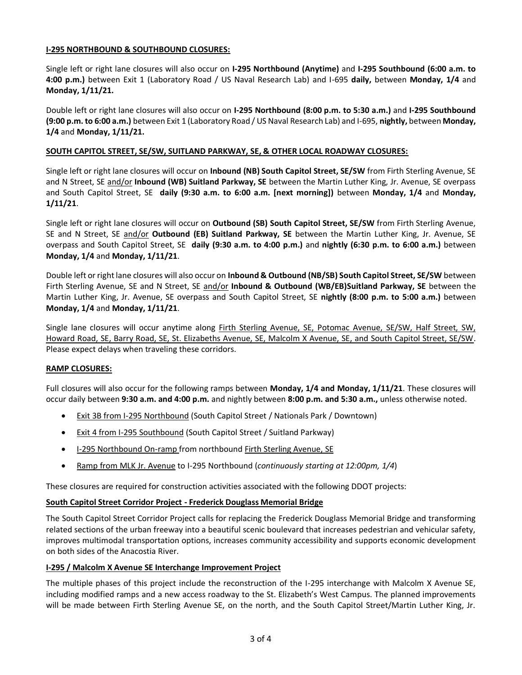#### **I-295 NORTHBOUND & SOUTHBOUND CLOSURES:**

Single left or right lane closures will also occur on **I-295 Northbound (Anytime)** and **I-295 Southbound (6:00 a.m. to 4:00 p.m.)** between Exit 1 (Laboratory Road / US Naval Research Lab) and I-695 **daily,** between **Monday, 1/4** and **Monday, 1/11/21.**

Double left or right lane closures will also occur on **I-295 Northbound (8:00 p.m. to 5:30 a.m.)** and **I-295 Southbound (9:00 p.m. to 6:00 a.m.)** between Exit 1 (Laboratory Road / US Naval Research Lab) and I-695, **nightly,** between **Monday, 1/4** and **Monday, 1/11/21.**

#### **SOUTH CAPITOL STREET, SE/SW, SUITLAND PARKWAY, SE, & OTHER LOCAL ROADWAY CLOSURES:**

Single left or right lane closures will occur on **Inbound (NB) South Capitol Street, SE/SW** from Firth Sterling Avenue, SE and N Street, SE and/or **Inbound (WB) Suitland Parkway, SE** between the Martin Luther King, Jr. Avenue, SE overpass and South Capitol Street, SE **daily (9:30 a.m. to 6:00 a.m. [next morning])** between **Monday, 1/4** and **Monday, 1/11/21**.

Single left or right lane closures will occur on **Outbound (SB) South Capitol Street, SE/SW** from Firth Sterling Avenue, SE and N Street, SE and/or **Outbound (EB) Suitland Parkway, SE** between the Martin Luther King, Jr. Avenue, SE overpass and South Capitol Street, SE **daily (9:30 a.m. to 4:00 p.m.)** and **nightly (6:30 p.m. to 6:00 a.m.)** between **Monday, 1/4** and **Monday, 1/11/21**.

Double left or right lane closures will also occur on **Inbound & Outbound (NB/SB) South Capitol Street, SE/SW** between Firth Sterling Avenue, SE and N Street, SE and/or **Inbound & Outbound (WB/EB)Suitland Parkway, SE** between the Martin Luther King, Jr. Avenue, SE overpass and South Capitol Street, SE **nightly (8:00 p.m. to 5:00 a.m.)** between **Monday, 1/4** and **Monday, 1/11/21**.

Single lane closures will occur anytime along Firth Sterling Avenue, SE, Potomac Avenue, SE/SW, Half Street, SW, Howard Road, SE, Barry Road, SE, St. Elizabeths Avenue, SE, Malcolm X Avenue, SE, and South Capitol Street, SE/SW. Please expect delays when traveling these corridors.

### **RAMP CLOSURES:**

Full closures will also occur for the following ramps between **Monday, 1/4 and Monday, 1/11/21**. These closures will occur daily between **9:30 a.m. and 4:00 p.m.** and nightly between **8:00 p.m. and 5:30 a.m.,** unless otherwise noted.

- Exit 3B from I-295 Northbound (South Capitol Street / Nationals Park / Downtown)
- Exit 4 from I-295 Southbound (South Capitol Street / Suitland Parkway)
- I-295 Northbound On-ramp from northbound Firth Sterling Avenue, SE
- Ramp from MLK Jr. Avenue to I-295 Northbound (*continuously starting at 12:00pm, 1/4*)

These closures are required for construction activities associated with the following DDOT projects:

#### **South Capitol Street Corridor Project - Frederick Douglass Memorial Bridge**

The South Capitol Street Corridor Project calls for replacing the Frederick Douglass Memorial Bridge and transforming related sections of the urban freeway into a beautiful scenic boulevard that increases pedestrian and vehicular safety, improves multimodal transportation options, increases community accessibility and supports economic development on both sides of the Anacostia River.

#### **I-295 / Malcolm X Avenue SE Interchange Improvement Project**

The multiple phases of this project include the reconstruction of the I-295 interchange with Malcolm X Avenue SE, including modified ramps and a new access roadway to the St. Elizabeth's West Campus. The planned improvements will be made between Firth Sterling Avenue SE, on the north, and the South Capitol Street/Martin Luther King, Jr.